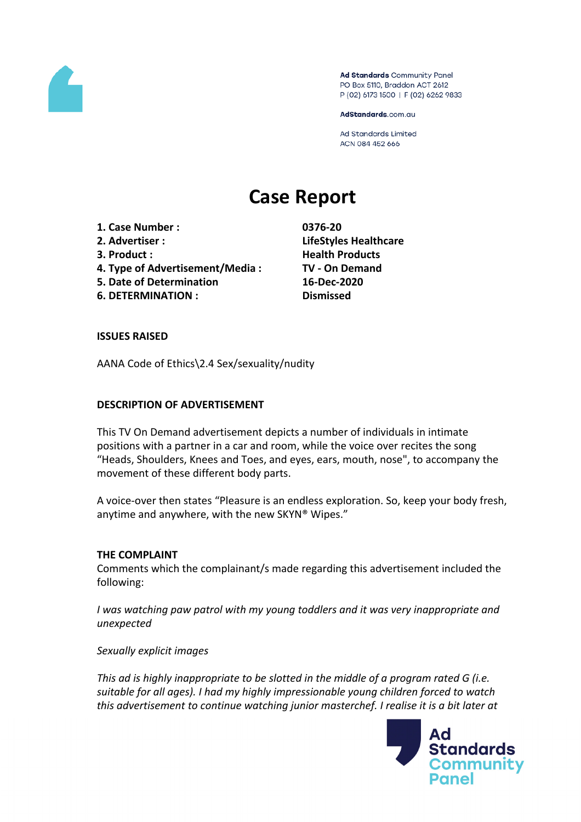

Ad Standards Community Panel PO Box 5110, Braddon ACT 2612 P (02) 6173 1500 | F (02) 6262 9833

AdStandards.com.au

**Ad Standards Limited** ACN 084 452 666

# **Case Report**

- **1. Case Number : 0376-20**
- 
- 
- **4. Type of Advertisement/Media : TV - On Demand**
- **5. Date of Determination 16-Dec-2020**
- **6. DETERMINATION : Dismissed**

**2. Advertiser : LifeStyles Healthcare 3. Product : Health Products**

# **ISSUES RAISED**

AANA Code of Ethics\2.4 Sex/sexuality/nudity

# **DESCRIPTION OF ADVERTISEMENT**

This TV On Demand advertisement depicts a number of individuals in intimate positions with a partner in a car and room, while the voice over recites the song "Heads, Shoulders, Knees and Toes, and eyes, ears, mouth, nose", to accompany the movement of these different body parts.

A voice-over then states "Pleasure is an endless exploration. So, keep your body fresh, anytime and anywhere, with the new SKYN® Wipes."

# **THE COMPLAINT**

Comments which the complainant/s made regarding this advertisement included the following:

*I was watching paw patrol with my young toddlers and it was very inappropriate and unexpected*

*Sexually explicit images*

*This ad is highly inappropriate to be slotted in the middle of a program rated G (i.e. suitable for all ages). I had my highly impressionable young children forced to watch this advertisement to continue watching junior masterchef. I realise it is a bit later at*

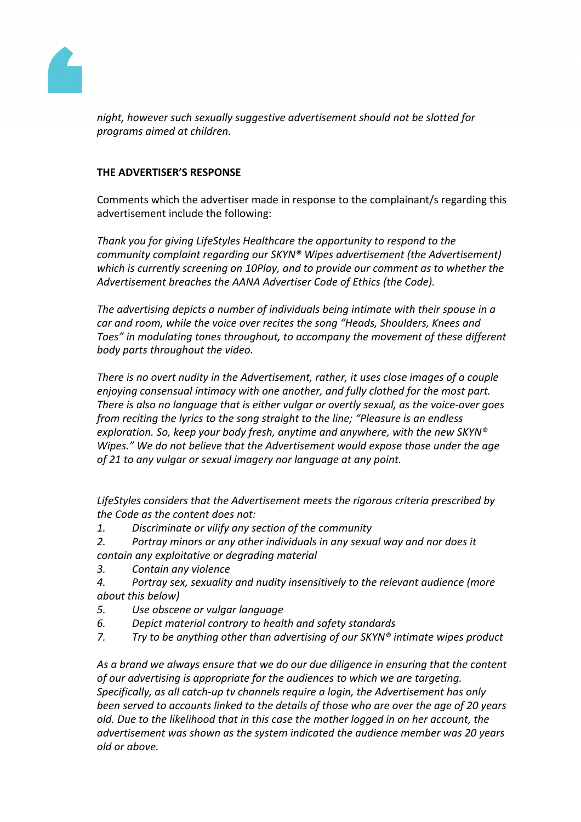

*night, however such sexually suggestive advertisement should not be slotted for programs aimed at children.*

# **THE ADVERTISER'S RESPONSE**

Comments which the advertiser made in response to the complainant/s regarding this advertisement include the following:

*Thank you for giving LifeStyles Healthcare the opportunity to respond to the community complaint regarding our SKYN® Wipes advertisement (the Advertisement) which is currently screening on 10Play, and to provide our comment as to whether the Advertisement breaches the AANA Advertiser Code of Ethics (the Code).*

*The advertising depicts a number of individuals being intimate with their spouse in a car and room, while the voice over recites the song "Heads, Shoulders, Knees and Toes" in modulating tones throughout, to accompany the movement of these different body parts throughout the video.*

*There is no overt nudity in the Advertisement, rather, it uses close images of a couple enjoying consensual intimacy with one another, and fully clothed for the most part. There is also no language that is either vulgar or overtly sexual, as the voice-over goes from reciting the lyrics to the song straight to the line; "Pleasure is an endless exploration. So, keep your body fresh, anytime and anywhere, with the new SKYN® Wipes." We do not believe that the Advertisement would expose those under the age of 21 to any vulgar or sexual imagery nor language at any point.*

*LifeStyles considers that the Advertisement meets the rigorous criteria prescribed by the Code as the content does not:*

- *1. Discriminate or vilify any section of the community*
- *2. Portray minors or any other individuals in any sexual way and nor does it contain any exploitative or degrading material*
- *3. Contain any violence*
- *4. Portray sex, sexuality and nudity insensitively to the relevant audience (more about this below)*
- *5. Use obscene or vulgar language*
- *6. Depict material contrary to health and safety standards*
- *7. Try to be anything other than advertising of our SKYN® intimate wipes product*

*As a brand we always ensure that we do our due diligence in ensuring that the content of our advertising is appropriate for the audiences to which we are targeting. Specifically, as all catch-up tv channels require a login, the Advertisement has only been served to accounts linked to the details of those who are over the age of 20 years old. Due to the likelihood that in this case the mother logged in on her account, the advertisement was shown as the system indicated the audience member was 20 years old or above.*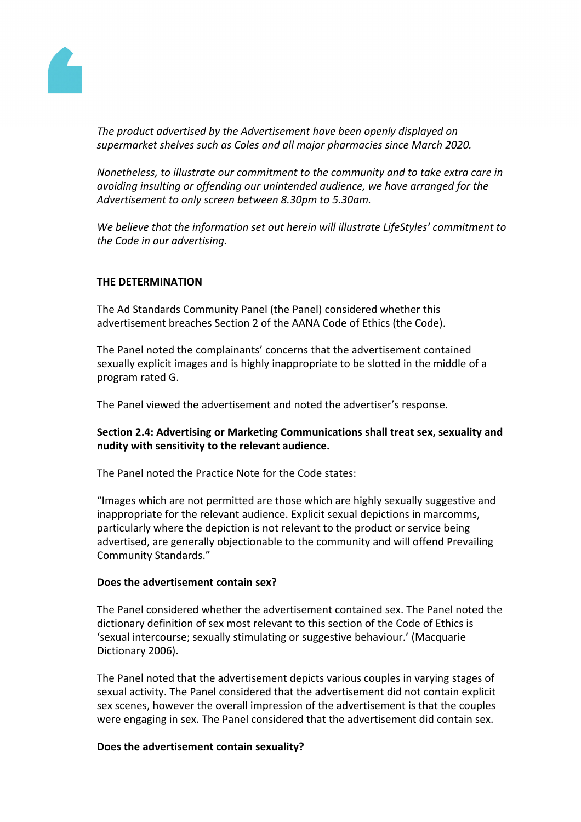

*The product advertised by the Advertisement have been openly displayed on supermarket shelves such as Coles and all major pharmacies since March 2020.*

*Nonetheless, to illustrate our commitment to the community and to take extra care in avoiding insulting or offending our unintended audience, we have arranged for the Advertisement to only screen between 8.30pm to 5.30am.*

*We believe that the information set out herein will illustrate LifeStyles' commitment to the Code in our advertising.*

# **THE DETERMINATION**

The Ad Standards Community Panel (the Panel) considered whether this advertisement breaches Section 2 of the AANA Code of Ethics (the Code).

The Panel noted the complainants' concerns that the advertisement contained sexually explicit images and is highly inappropriate to be slotted in the middle of a program rated G.

The Panel viewed the advertisement and noted the advertiser's response.

# **Section 2.4: Advertising or Marketing Communications shall treat sex, sexuality and nudity with sensitivity to the relevant audience.**

The Panel noted the Practice Note for the Code states:

"Images which are not permitted are those which are highly sexually suggestive and inappropriate for the relevant audience. Explicit sexual depictions in marcomms, particularly where the depiction is not relevant to the product or service being advertised, are generally objectionable to the community and will offend Prevailing Community Standards."

# **Does the advertisement contain sex?**

The Panel considered whether the advertisement contained sex. The Panel noted the dictionary definition of sex most relevant to this section of the Code of Ethics is 'sexual intercourse; sexually stimulating or suggestive behaviour.' (Macquarie Dictionary 2006).

The Panel noted that the advertisement depicts various couples in varying stages of sexual activity. The Panel considered that the advertisement did not contain explicit sex scenes, however the overall impression of the advertisement is that the couples were engaging in sex. The Panel considered that the advertisement did contain sex.

#### **Does the advertisement contain sexuality?**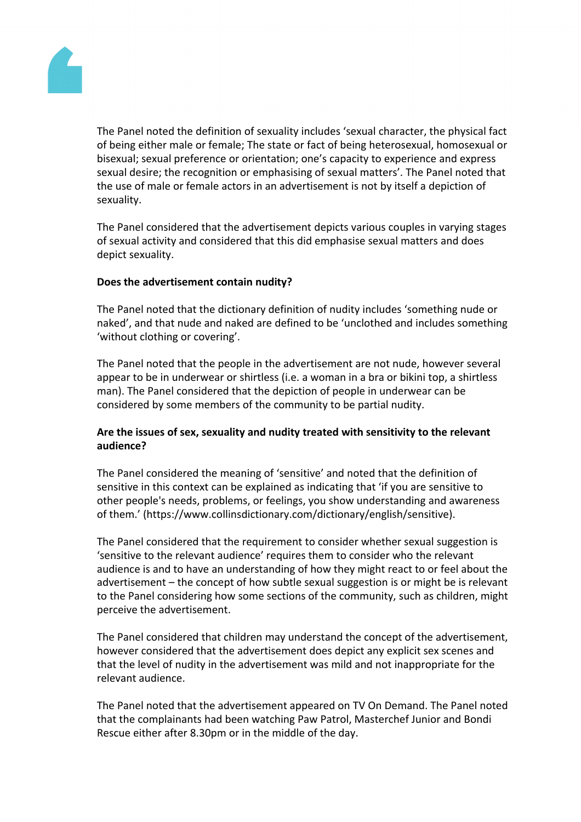

The Panel noted the definition of sexuality includes 'sexual character, the physical fact of being either male or female; The state or fact of being heterosexual, homosexual or bisexual; sexual preference or orientation; one's capacity to experience and express sexual desire; the recognition or emphasising of sexual matters'. The Panel noted that the use of male or female actors in an advertisement is not by itself a depiction of sexuality.

The Panel considered that the advertisement depicts various couples in varying stages of sexual activity and considered that this did emphasise sexual matters and does depict sexuality.

# **Does the advertisement contain nudity?**

The Panel noted that the dictionary definition of nudity includes 'something nude or naked', and that nude and naked are defined to be 'unclothed and includes something 'without clothing or covering'.

The Panel noted that the people in the advertisement are not nude, however several appear to be in underwear or shirtless (i.e. a woman in a bra or bikini top, a shirtless man). The Panel considered that the depiction of people in underwear can be considered by some members of the community to be partial nudity.

# **Are the issues of sex, sexuality and nudity treated with sensitivity to the relevant audience?**

The Panel considered the meaning of 'sensitive' and noted that the definition of sensitive in this context can be explained as indicating that 'if you are sensitive to other people's needs, problems, or feelings, you show understanding and awareness of them.' (https://www.collinsdictionary.com/dictionary/english/sensitive).

The Panel considered that the requirement to consider whether sexual suggestion is 'sensitive to the relevant audience' requires them to consider who the relevant audience is and to have an understanding of how they might react to or feel about the advertisement – the concept of how subtle sexual suggestion is or might be is relevant to the Panel considering how some sections of the community, such as children, might perceive the advertisement.

The Panel considered that children may understand the concept of the advertisement, however considered that the advertisement does depict any explicit sex scenes and that the level of nudity in the advertisement was mild and not inappropriate for the relevant audience.

The Panel noted that the advertisement appeared on TV On Demand. The Panel noted that the complainants had been watching Paw Patrol, Masterchef Junior and Bondi Rescue either after 8.30pm or in the middle of the day.